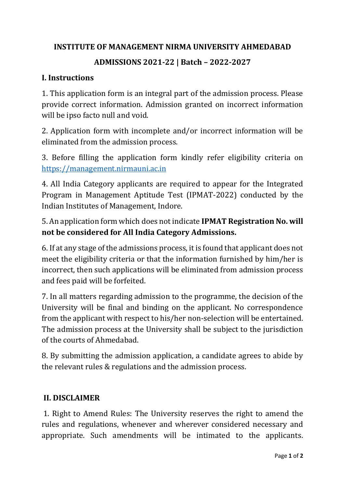### **INSTITUTE OF MANAGEMENT NIRMA UNIVERSITY AHMEDABAD**

# **ADMISSIONS 2021-22 | Batch – 2022-2027**

#### **I. Instructions**

1. This application form is an integral part of the admission process. Please provide correct information. Admission granted on incorrect information will be ipso facto null and void.

2. Application form with incomplete and/or incorrect information will be eliminated from the admission process.

3. Before filling the application form kindly refer eligibility criteria on [https://management.nirmauni.ac.in](https://management.nirmauni.ac.in/)

4. All India Category applicants are required to appear for the Integrated Program in Management Aptitude Test (IPMAT-2022) conducted by the Indian Institutes of Management, Indore.

5. An application form which does not indicate **IPMAT Registration No. will not be considered for All India Category Admissions.**

6. If at any stage of the admissions process, it is found that applicant does not meet the eligibility criteria or that the information furnished by him/her is incorrect, then such applications will be eliminated from admission process and fees paid will be forfeited.

7. In all matters regarding admission to the programme, the decision of the University will be final and binding on the applicant. No correspondence from the applicant with respect to his/her non-selection will be entertained. The admission process at the University shall be subject to the jurisdiction of the courts of Ahmedabad.

8. By submitting the admission application, a candidate agrees to abide by the relevant rules & regulations and the admission process.

#### **II. DISCLAIMER**

1. Right to Amend Rules: The University reserves the right to amend the rules and regulations, whenever and wherever considered necessary and appropriate. Such amendments will be intimated to the applicants.